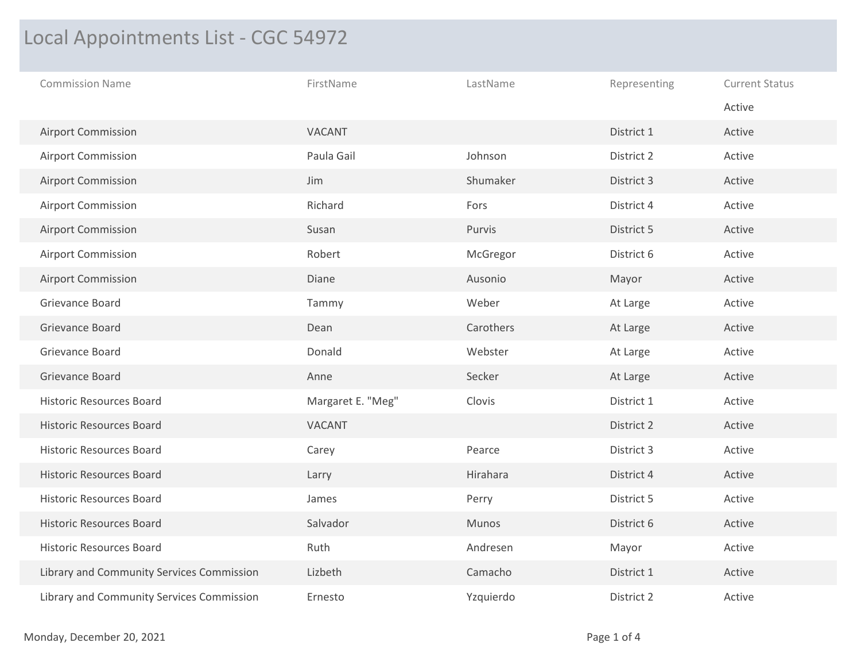## Local Appointments List - CGC 54972

| <b>Commission Name</b>                    | FirstName         | LastName  | Representing | <b>Current Status</b> |
|-------------------------------------------|-------------------|-----------|--------------|-----------------------|
|                                           |                   |           |              | Active                |
| <b>Airport Commission</b>                 | VACANT            |           | District 1   | Active                |
| <b>Airport Commission</b>                 | Paula Gail        | Johnson   | District 2   | Active                |
| Airport Commission                        | Jim               | Shumaker  | District 3   | Active                |
| <b>Airport Commission</b>                 | Richard           | Fors      | District 4   | Active                |
| <b>Airport Commission</b>                 | Susan             | Purvis    | District 5   | Active                |
| <b>Airport Commission</b>                 | Robert            | McGregor  | District 6   | Active                |
| <b>Airport Commission</b>                 | Diane             | Ausonio   | Mayor        | Active                |
| Grievance Board                           | Tammy             | Weber     | At Large     | Active                |
| Grievance Board                           | Dean              | Carothers | At Large     | Active                |
| Grievance Board                           | Donald            | Webster   | At Large     | Active                |
| Grievance Board                           | Anne              | Secker    | At Large     | Active                |
| <b>Historic Resources Board</b>           | Margaret E. "Meg" | Clovis    | District 1   | Active                |
| <b>Historic Resources Board</b>           | VACANT            |           | District 2   | Active                |
| <b>Historic Resources Board</b>           | Carey             | Pearce    | District 3   | Active                |
| <b>Historic Resources Board</b>           | Larry             | Hirahara  | District 4   | Active                |
| <b>Historic Resources Board</b>           | James             | Perry     | District 5   | Active                |
| <b>Historic Resources Board</b>           | Salvador          | Munos     | District 6   | Active                |
| <b>Historic Resources Board</b>           | Ruth              | Andresen  | Mayor        | Active                |
| Library and Community Services Commission | Lizbeth           | Camacho   | District 1   | Active                |
| Library and Community Services Commission | Ernesto           | Yzquierdo | District 2   | Active                |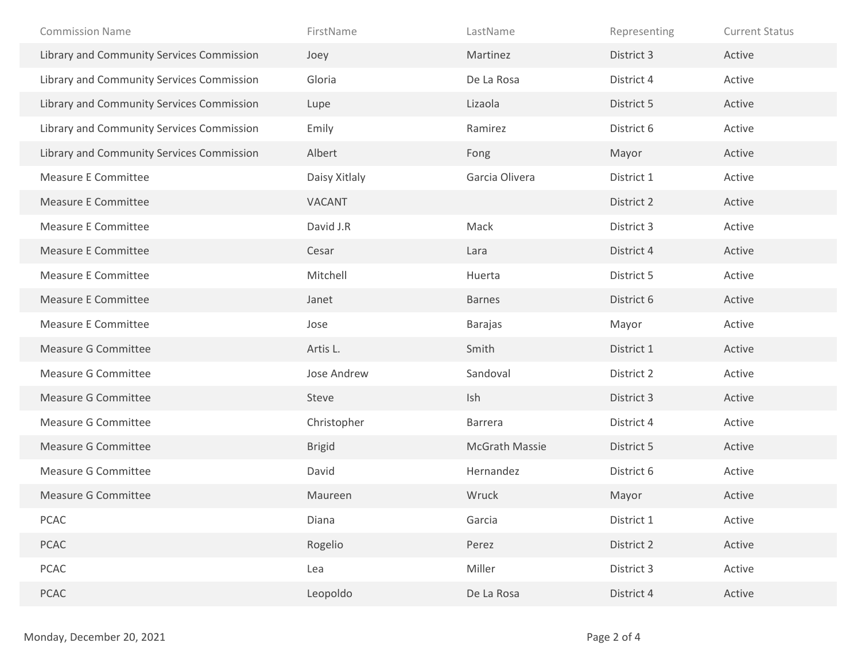| <b>Commission Name</b>                    | FirstName     | LastName              | Representing | <b>Current Status</b> |
|-------------------------------------------|---------------|-----------------------|--------------|-----------------------|
| Library and Community Services Commission | Joey          | Martinez              | District 3   | Active                |
| Library and Community Services Commission | Gloria        | De La Rosa            | District 4   | Active                |
| Library and Community Services Commission | Lupe          | Lizaola               | District 5   | Active                |
| Library and Community Services Commission | Emily         | Ramirez               | District 6   | Active                |
| Library and Community Services Commission | Albert        | Fong                  | Mayor        | Active                |
| <b>Measure E Committee</b>                | Daisy Xitlaly | Garcia Olivera        | District 1   | Active                |
| <b>Measure E Committee</b>                | VACANT        |                       | District 2   | Active                |
| Measure E Committee                       | David J.R     | Mack                  | District 3   | Active                |
| <b>Measure E Committee</b>                | Cesar         | Lara                  | District 4   | Active                |
| <b>Measure E Committee</b>                | Mitchell      | Huerta                | District 5   | Active                |
| <b>Measure E Committee</b>                | Janet         | <b>Barnes</b>         | District 6   | Active                |
| <b>Measure E Committee</b>                | Jose          | <b>Barajas</b>        | Mayor        | Active                |
|                                           |               |                       |              |                       |
| <b>Measure G Committee</b>                | Artis L.      | Smith                 | District 1   | Active                |
| <b>Measure G Committee</b>                | Jose Andrew   | Sandoval              | District 2   | Active                |
| <b>Measure G Committee</b>                | Steve         | Ish                   | District 3   | Active                |
| <b>Measure G Committee</b>                | Christopher   | Barrera               | District 4   | Active                |
| <b>Measure G Committee</b>                | <b>Brigid</b> | <b>McGrath Massie</b> | District 5   | Active                |
| <b>Measure G Committee</b>                | David         | Hernandez             | District 6   | Active                |
| <b>Measure G Committee</b>                | Maureen       | Wruck                 | Mayor        | Active                |
| PCAC                                      | Diana         | Garcia                | District 1   | Active                |
| PCAC                                      | Rogelio       | Perez                 | District 2   | Active                |
| PCAC                                      | Lea           | Miller                | District 3   | Active                |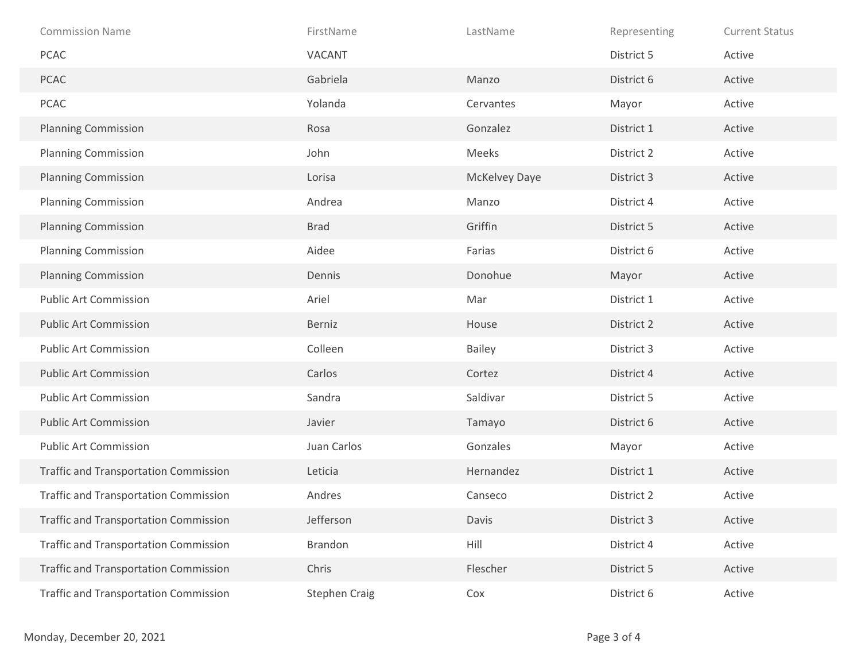| <b>Commission Name</b>                       | FirstName            | LastName      | Representing | <b>Current Status</b> |
|----------------------------------------------|----------------------|---------------|--------------|-----------------------|
| <b>PCAC</b>                                  | VACANT               |               | District 5   | Active                |
| <b>PCAC</b>                                  | Gabriela             | Manzo         | District 6   | Active                |
| PCAC                                         | Yolanda              | Cervantes     | Mayor        | Active                |
| <b>Planning Commission</b>                   | Rosa                 | Gonzalez      | District 1   | Active                |
| <b>Planning Commission</b>                   | John                 | Meeks         | District 2   | Active                |
| <b>Planning Commission</b>                   | Lorisa               | McKelvey Daye | District 3   | Active                |
| <b>Planning Commission</b>                   | Andrea               | Manzo         | District 4   | Active                |
| <b>Planning Commission</b>                   | <b>Brad</b>          | Griffin       | District 5   | Active                |
| <b>Planning Commission</b>                   | Aidee                | Farias        | District 6   | Active                |
| <b>Planning Commission</b>                   | Dennis               | Donohue       | Mayor        | Active                |
| <b>Public Art Commission</b>                 | Ariel                | Mar           | District 1   | Active                |
| <b>Public Art Commission</b>                 | Berniz               | House         | District 2   | Active                |
| <b>Public Art Commission</b>                 | Colleen              | <b>Bailey</b> | District 3   | Active                |
| <b>Public Art Commission</b>                 | Carlos               | Cortez        | District 4   | Active                |
| <b>Public Art Commission</b>                 | Sandra               | Saldivar      | District 5   | Active                |
| <b>Public Art Commission</b>                 | Javier               | Tamayo        | District 6   | Active                |
| <b>Public Art Commission</b>                 | Juan Carlos          | Gonzales      | Mayor        | Active                |
| <b>Traffic and Transportation Commission</b> | Leticia              | Hernandez     | District 1   | Active                |
| <b>Traffic and Transportation Commission</b> | Andres               | Canseco       | District 2   | Active                |
| <b>Traffic and Transportation Commission</b> | Jefferson            | Davis         | District 3   | Active                |
| <b>Traffic and Transportation Commission</b> | Brandon              | Hill          | District 4   | Active                |
| <b>Traffic and Transportation Commission</b> | Chris                | Flescher      | District 5   | Active                |
| <b>Traffic and Transportation Commission</b> | <b>Stephen Craig</b> | Cox           | District 6   | Active                |